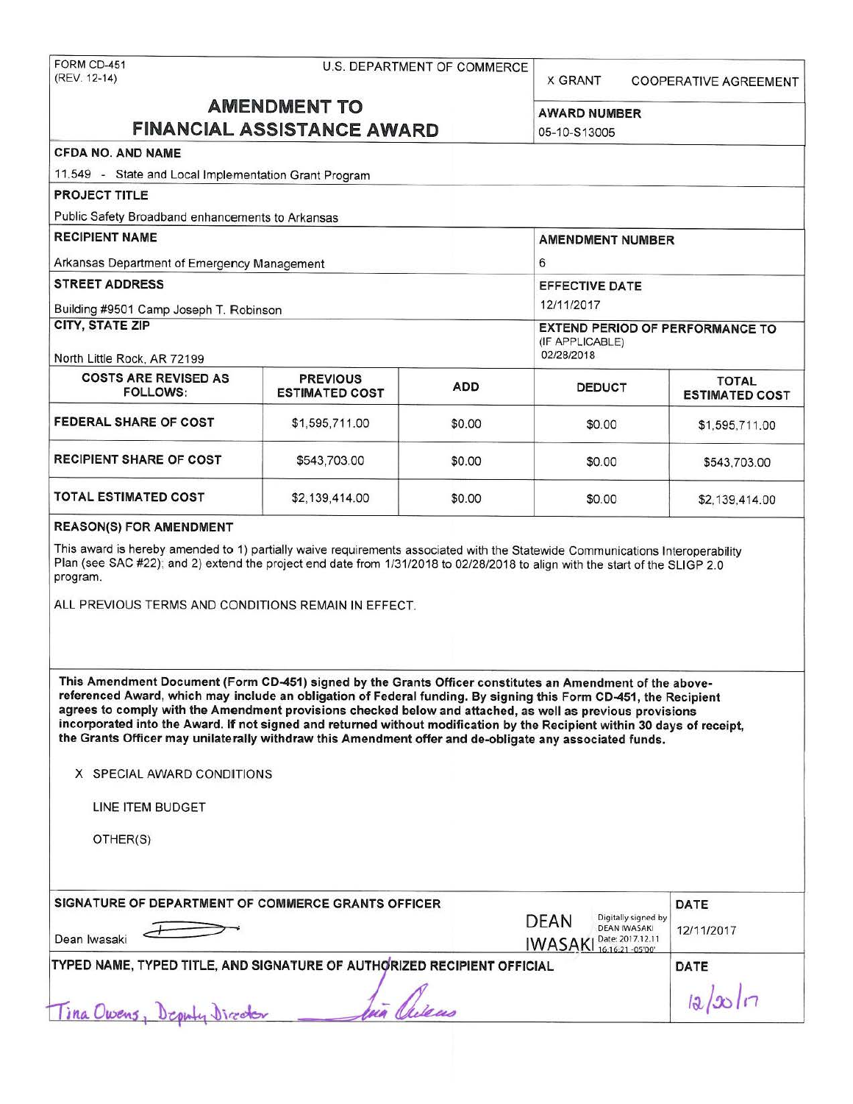# FORM CD-451 U.S. DEPARTMENT OF COMMERCE<br>(REV. 12-14)

X GRANT COOPERATIVE AGREEMENT

## **AMENDMENT TO** AWARD NUMBER **FINANCIAL ASSISTANCE AWARD**

'

|                                                                                                                                                                                                                                                                                                                                                                                                                                                                                                                                                                                                                 |                                          |                                                                         | UU-TU-O TUUUU                                                                        |                                       |
|-----------------------------------------------------------------------------------------------------------------------------------------------------------------------------------------------------------------------------------------------------------------------------------------------------------------------------------------------------------------------------------------------------------------------------------------------------------------------------------------------------------------------------------------------------------------------------------------------------------------|------------------------------------------|-------------------------------------------------------------------------|--------------------------------------------------------------------------------------|---------------------------------------|
| <b>CFDA NO. AND NAME</b>                                                                                                                                                                                                                                                                                                                                                                                                                                                                                                                                                                                        |                                          |                                                                         |                                                                                      |                                       |
| 11.549 - State and Local Implementation Grant Program                                                                                                                                                                                                                                                                                                                                                                                                                                                                                                                                                           |                                          |                                                                         |                                                                                      |                                       |
| <b>PROJECT TITLE</b>                                                                                                                                                                                                                                                                                                                                                                                                                                                                                                                                                                                            |                                          |                                                                         |                                                                                      |                                       |
| Public Safety Broadband enhancements to Arkansas                                                                                                                                                                                                                                                                                                                                                                                                                                                                                                                                                                |                                          |                                                                         |                                                                                      |                                       |
| <b>RECIPIENT NAME</b>                                                                                                                                                                                                                                                                                                                                                                                                                                                                                                                                                                                           |                                          |                                                                         | <b>AMENDMENT NUMBER</b>                                                              |                                       |
| Arkansas Department of Emergency Management                                                                                                                                                                                                                                                                                                                                                                                                                                                                                                                                                                     |                                          |                                                                         | 6                                                                                    |                                       |
| <b>STREET ADDRESS</b>                                                                                                                                                                                                                                                                                                                                                                                                                                                                                                                                                                                           |                                          |                                                                         | <b>EFFECTIVE DATE</b>                                                                |                                       |
| Building #9501 Camp Joseph T. Robinson                                                                                                                                                                                                                                                                                                                                                                                                                                                                                                                                                                          |                                          |                                                                         | 12/11/2017                                                                           |                                       |
| <b>CITY, STATE ZIP</b><br>North Little Rock, AR 72199                                                                                                                                                                                                                                                                                                                                                                                                                                                                                                                                                           |                                          | <b>EXTEND PERIOD OF PERFORMANCE TO</b><br>(IF APPLICABLE)<br>02/28/2018 |                                                                                      |                                       |
| <b>COSTS ARE REVISED AS</b><br><b>FOLLOWS:</b>                                                                                                                                                                                                                                                                                                                                                                                                                                                                                                                                                                  | <b>PREVIOUS</b><br><b>ESTIMATED COST</b> | <b>ADD</b>                                                              | <b>DEDUCT</b>                                                                        | <b>TOTAL</b><br><b>ESTIMATED COST</b> |
| FEDERAL SHARE OF COST                                                                                                                                                                                                                                                                                                                                                                                                                                                                                                                                                                                           | \$1,595,711.00                           | \$0.00                                                                  | \$0.00                                                                               | \$1,595,711.00                        |
| <b>RECIPIENT SHARE OF COST</b>                                                                                                                                                                                                                                                                                                                                                                                                                                                                                                                                                                                  | \$543,703.00                             | \$0.00                                                                  | \$0.00                                                                               | \$543,703.00                          |
| <b>TOTAL ESTIMATED COST</b>                                                                                                                                                                                                                                                                                                                                                                                                                                                                                                                                                                                     | \$2,139,414.00                           | \$0.00                                                                  | \$0.00                                                                               | \$2,139,414.00                        |
| Plan (see SAC #22); and 2) extend the project end date from 1/31/2018 to 02/28/2018 to align with the start of the SLIGP 2.0<br>program.<br>ALL PREVIOUS TERMS AND CONDITIONS REMAIN IN EFFECT.                                                                                                                                                                                                                                                                                                                                                                                                                 |                                          |                                                                         |                                                                                      |                                       |
| This Amendment Document (Form CD-451) signed by the Grants Officer constitutes an Amendment of the above-<br>referenced Award, which may include an obligation of Federal funding. By signing this Form CD-451, the Recipient<br>agrees to comply with the Amendment provisions checked below and attached, as well as previous provisions<br>incorporated into the Award. If not signed and returned without modification by the Recipient within 30 days of receipt,<br>the Grants Officer may unilaterally withdraw this Amendment offer and de-obligate any associated funds.<br>X SPECIAL AWARD CONDITIONS |                                          |                                                                         |                                                                                      |                                       |
| LINE ITEM BUDGET                                                                                                                                                                                                                                                                                                                                                                                                                                                                                                                                                                                                |                                          |                                                                         |                                                                                      |                                       |
| OTHER(S)                                                                                                                                                                                                                                                                                                                                                                                                                                                                                                                                                                                                        |                                          |                                                                         |                                                                                      |                                       |
| SIGNATURE OF DEPARTMENT OF COMMERCE GRANTS OFFICER                                                                                                                                                                                                                                                                                                                                                                                                                                                                                                                                                              |                                          |                                                                         | Digitally signed by                                                                  | DATE                                  |
| Dean Iwasaki                                                                                                                                                                                                                                                                                                                                                                                                                                                                                                                                                                                                    |                                          |                                                                         | DEAN<br><b>DEAN IWASAKI</b><br>Date: 2017.12.11<br><b>IWASAK</b><br>16:16:21 -05'00" | 12/11/2017                            |
| TYPED NAME, TYPED TITLE, AND SIGNATURE OF AUTHORIZED RECIPIENT OFFICIAL                                                                                                                                                                                                                                                                                                                                                                                                                                                                                                                                         |                                          | DATE<br>12/20/7                                                         |                                                                                      |                                       |
| Tina Owens, Deputy Director                                                                                                                                                                                                                                                                                                                                                                                                                                                                                                                                                                                     |                                          |                                                                         |                                                                                      |                                       |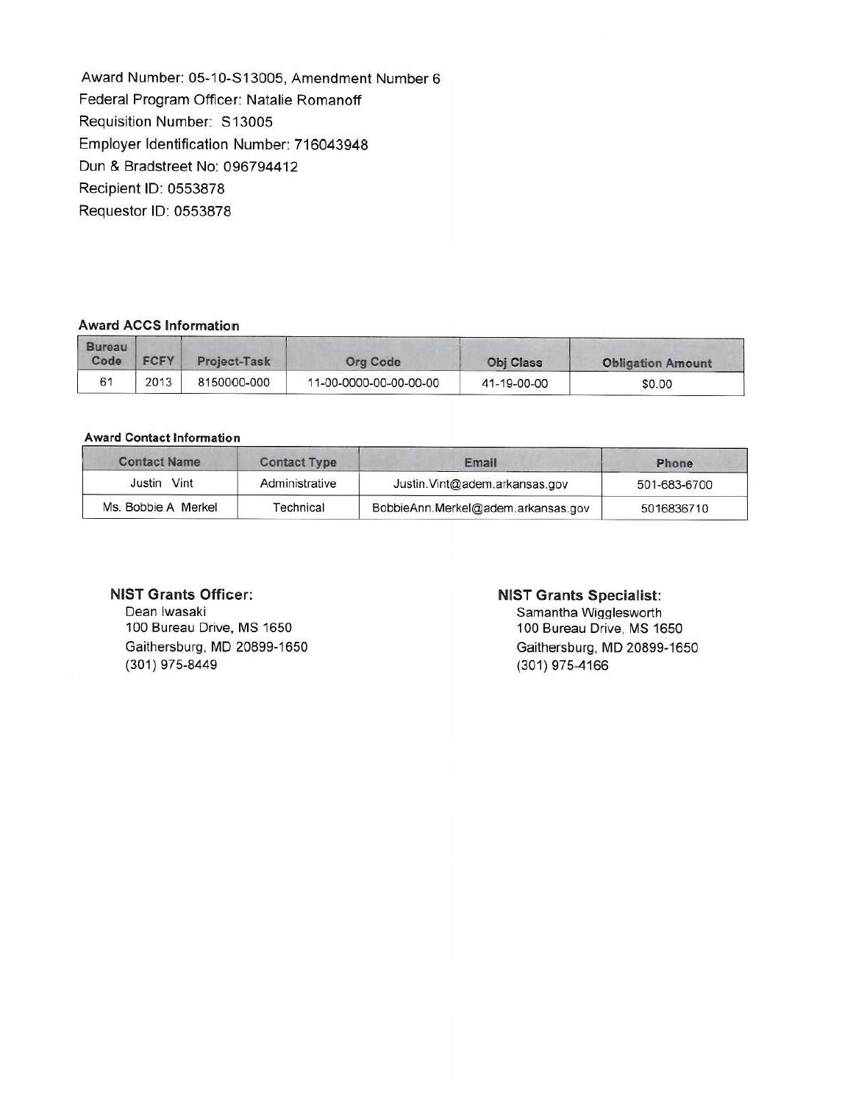Award Number: 05-10-S13005, Amendment Number 6 Federal Program Officer: Natalie Romanoff Requisition Number: S 13005 Employer Identification Number: 716043948 Dun & Bradstreet No: 096794412 Recipient ID: 0553878 Requester ID: 0553878

#### **Award ACCS Information**

| <b>Bureau</b><br>Code | <b>FCFY</b> | Project-Task | Org Code               | <b>Obi Class</b> | <b>Obligation Amount</b> |
|-----------------------|-------------|--------------|------------------------|------------------|--------------------------|
| 61                    | 2013        | 8150000-000  | 11-00-0000-00-00-00-00 | 41-19-00-00      | \$0.00                   |

#### **Award Contact Information**

| <b>Contact Name</b> | <b>Contact Type</b> | Email                              | Phone<br>501-683-6700<br>5016836710 |
|---------------------|---------------------|------------------------------------|-------------------------------------|
| Justin Vint         | Administrative      | Justin. Vint@adem.arkansas.gov     |                                     |
| Ms. Bobbie A Merkel | Technical           | BobbieAnn.Merkel@adem.arkansas.gov |                                     |

#### **NIST Grants Officer:**

Dean Iwasaki 100 Bureau Drive, MS 1650 Gaithersburg, MD 20899-1650 (301) 975-8449

#### **NIST Grants Specialist:**

Samantha Wigglesworth 100 Bureau Drive, MS 1650 Gaithersburg, MD 20899-1650 (301) 975-4166